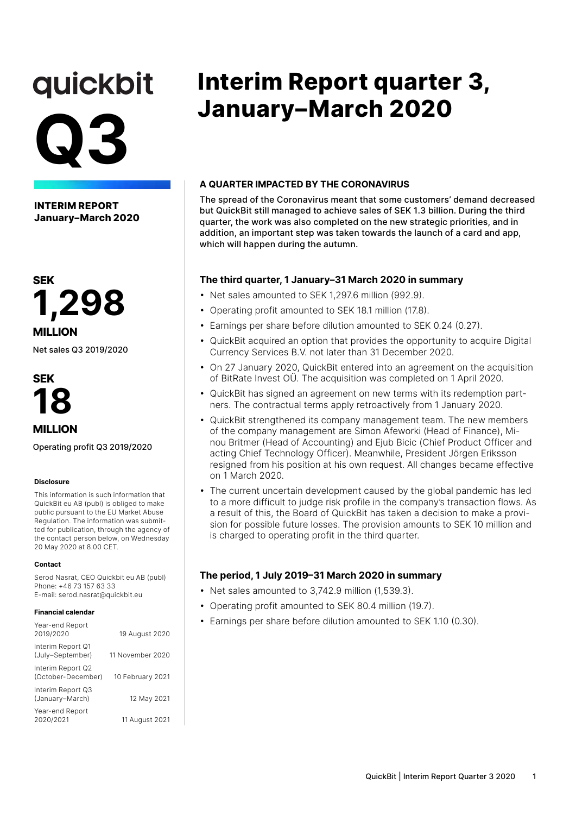# quickbit **Q3**

**INTERIM REPORT January–March 2020**



Net sales Q3 2019/2020



**MILLION**

Operating profit Q3 2019/2020

#### **Disclosure**

This information is such information that QuickBit eu AB (publ) is obliged to make public pursuant to the EU Market Abuse Regulation. The information was submitted for publication, through the agency of the contact person below, on Wednesday 20 May 2020 at 8.00 CET.

#### **Contact**

Serod Nasrat, CEO Quickbit eu AB (publ) Phone: +46 73 157 63 33 E-mail: serod.nasrat@quickbit.eu

#### **Financial calendar**

| Year-end Report<br>2019/2020            | 19 August 2020   |
|-----------------------------------------|------------------|
| Interim Report Q1<br>(July-September)   | 11 November 2020 |
| Interim Report Q2<br>(October-December) | 10 February 2021 |
| Interim Report Q3<br>(January-March)    | 12 May 2021      |
| Year-end Report<br>2020/2021            | 11 August 2021   |

### **Interim Report quarter 3, January–March 2020**

#### **A QUARTER IMPACTED BY THE CORONAVIRUS**

The spread of the Coronavirus meant that some customers' demand decreased but QuickBit still managed to achieve sales of SEK 1.3 billion. During the third quarter, the work was also completed on the new strategic priorities, and in addition, an important step was taken towards the launch of a card and app, which will happen during the autumn.

#### **The third quarter, 1 January–31 March 2020 in summary**

- Net sales amounted to SEK 1,297.6 million (992.9).
- Operating profit amounted to SEK 18.1 million (17.8).
- Earnings per share before dilution amounted to SEK 0.24 (0.27).
- QuickBit acquired an option that provides the opportunity to acquire Digital Currency Services B.V. not later than 31 December 2020.
- On 27 January 2020, QuickBit entered into an agreement on the acquisition of BitRate Invest OÜ. The acquisition was completed on 1 April 2020.
- QuickBit has signed an agreement on new terms with its redemption partners. The contractual terms apply retroactively from 1 January 2020.
- QuickBit strengthened its company management team. The new members of the company management are Simon Afeworki (Head of Finance), Minou Britmer (Head of Accounting) and Ejub Bicic (Chief Product Officer and acting Chief Technology Officer). Meanwhile, President Jörgen Eriksson resigned from his position at his own request. All changes became effective on 1 March 2020.
- The current uncertain development caused by the global pandemic has led to a more difficult to judge risk profile in the company's transaction flows. As a result of this, the Board of QuickBit has taken a decision to make a provision for possible future losses. The provision amounts to SEK 10 million and is charged to operating profit in the third quarter.

#### **The period, 1 July 2019–31 March 2020 in summary**

- Net sales amounted to 3,742.9 million (1,539.3).
- Operating profit amounted to SEK 80.4 million (19.7).
- Earnings per share before dilution amounted to SEK 1.10 (0.30).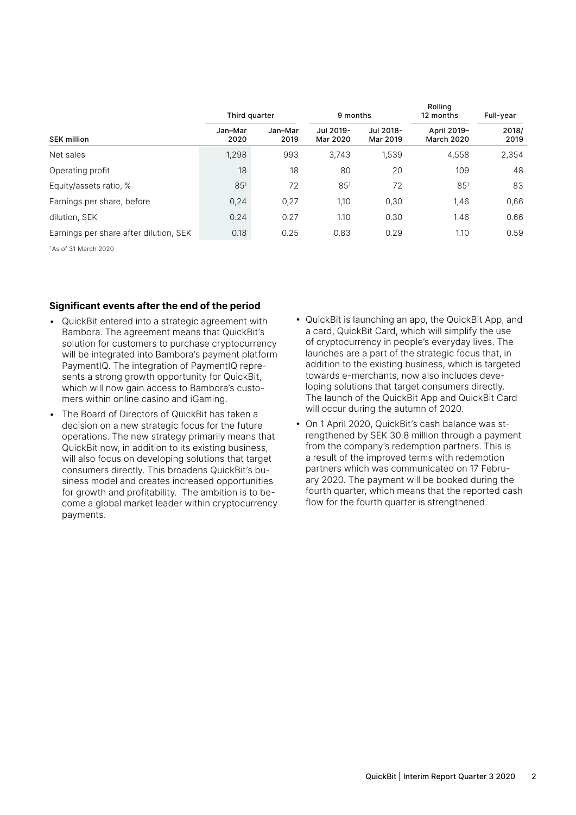|                                        | Third quarter   |                 | 9 months              |                       | ROIIING<br>12 months             | Full-year     |  |
|----------------------------------------|-----------------|-----------------|-----------------------|-----------------------|----------------------------------|---------------|--|
| <b>SEK million</b>                     | Jan-Mar<br>2020 | Jan-Mar<br>2019 | Jul 2019-<br>Mar 2020 | Jul 2018-<br>Mar 2019 | April 2019-<br><b>March 2020</b> | 2018/<br>2019 |  |
| Net sales                              | 1,298           | 993             | 3,743                 | 1,539                 | 4,558                            | 2,354         |  |
| Operating profit                       | 18              | 18              | 80                    | 20                    | 109                              | 48            |  |
| Equity/assets ratio, %                 | $85^{1}$        | 72              | $85^{1}$              | 72                    | $85^{1}$                         | 83            |  |
| Earnings per share, before             | 0,24            | 0,27            | 1,10                  | 0,30                  | 1,46                             | 0,66          |  |
| dilution, SEK                          | 0.24            | 0.27            | 1.10                  | 0.30                  | 1.46                             | 0.66          |  |
| Earnings per share after dilution, SEK | 0.18            | 0.25            | 0.83                  | 0.29                  | 1.10                             | 0.59          |  |

1 As of 31 March 2020

#### **Significant events after the end of the period**

- QuickBit entered into a strategic agreement with Bambora. The agreement means that QuickBit's solution for customers to purchase cryptocurrency will be integrated into Bambora's payment platform PaymentIQ. The integration of PaymentIQ represents a strong growth opportunity for QuickBit, which will now gain access to Bambora's customers within online casino and iGaming.
- The Board of Directors of QuickBit has taken a decision on a new strategic focus for the future operations. The new strategy primarily means that QuickBit now, in addition to its existing business, will also focus on developing solutions that target consumers directly. This broadens QuickBit's business model and creates increased opportunities for growth and profitability. The ambition is to become a global market leader within cryptocurrency payments.
- QuickBit is launching an app, the QuickBit App, and a card, QuickBit Card, which will simplify the use of cryptocurrency in people's everyday lives. The launches are a part of the strategic focus that, in addition to the existing business, which is targeted towards e-merchants, now also includes developing solutions that target consumers directly. The launch of the QuickBit App and QuickBit Card will occur during the autumn of 2020.

Rolling

• On 1 April 2020, QuickBit's cash balance was strengthened by SEK 30.8 million through a payment from the company's redemption partners. This is a result of the improved terms with redemption partners which was communicated on 17 February 2020. The payment will be booked during the fourth quarter, which means that the reported cash flow for the fourth quarter is strengthened.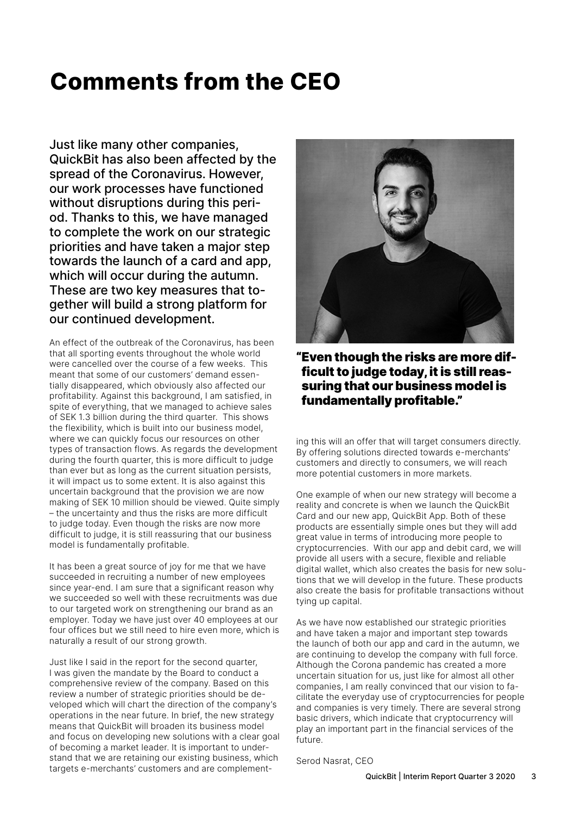### **Comments from the CEO**

Just like many other companies, QuickBit has also been affected by the spread of the Coronavirus. However, our work processes have functioned without disruptions during this period. Thanks to this, we have managed to complete the work on our strategic priorities and have taken a major step towards the launch of a card and app, which will occur during the autumn. These are two key measures that together will build a strong platform for our continued development.

An effect of the outbreak of the Coronavirus, has been that all sporting events throughout the whole world were cancelled over the course of a few weeks. This meant that some of our customers' demand essentially disappeared, which obviously also affected our profitability. Against this background, I am satisfied, in spite of everything, that we managed to achieve sales of SEK 1.3 billion during the third quarter. This shows the flexibility, which is built into our business model, where we can quickly focus our resources on other types of transaction flows. As regards the development during the fourth quarter, this is more difficult to judge than ever but as long as the current situation persists, it will impact us to some extent. It is also against this uncertain background that the provision we are now making of SEK 10 million should be viewed. Quite simply – the uncertainty and thus the risks are more difficult to judge today. Even though the risks are now more difficult to judge, it is still reassuring that our business model is fundamentally profitable.

It has been a great source of joy for me that we have succeeded in recruiting a number of new employees since year-end. I am sure that a significant reason why we succeeded so well with these recruitments was due to our targeted work on strengthening our brand as an employer. Today we have just over 40 employees at our four offices but we still need to hire even more, which is naturally a result of our strong growth.

Just like I said in the report for the second quarter, I was given the mandate by the Board to conduct a comprehensive review of the company. Based on this review a number of strategic priorities should be developed which will chart the direction of the company's operations in the near future. In brief, the new strategy means that QuickBit will broaden its business model and focus on developing new solutions with a clear goal of becoming a market leader. It is important to understand that we are retaining our existing business, which targets e-merchants' customers and are complement-



"Even though the risks are more difficult to judge today, it is still reassuring that our business model is fundamentally profitable."

ing this will an offer that will target consumers directly. By offering solutions directed towards e-merchants' customers and directly to consumers, we will reach more potential customers in more markets.

One example of when our new strategy will become a reality and concrete is when we launch the QuickBit Card and our new app, QuickBit App. Both of these products are essentially simple ones but they will add great value in terms of introducing more people to cryptocurrencies. With our app and debit card, we will provide all users with a secure, flexible and reliable digital wallet, which also creates the basis for new solutions that we will develop in the future. These products also create the basis for profitable transactions without tying up capital.

As we have now established our strategic priorities and have taken a major and important step towards the launch of both our app and card in the autumn, we are continuing to develop the company with full force. Although the Corona pandemic has created a more uncertain situation for us, just like for almost all other companies, I am really convinced that our vision to facilitate the everyday use of cryptocurrencies for people and companies is very timely. There are several strong basic drivers, which indicate that cryptocurrency will play an important part in the financial services of the future.

Serod Nasrat, CEO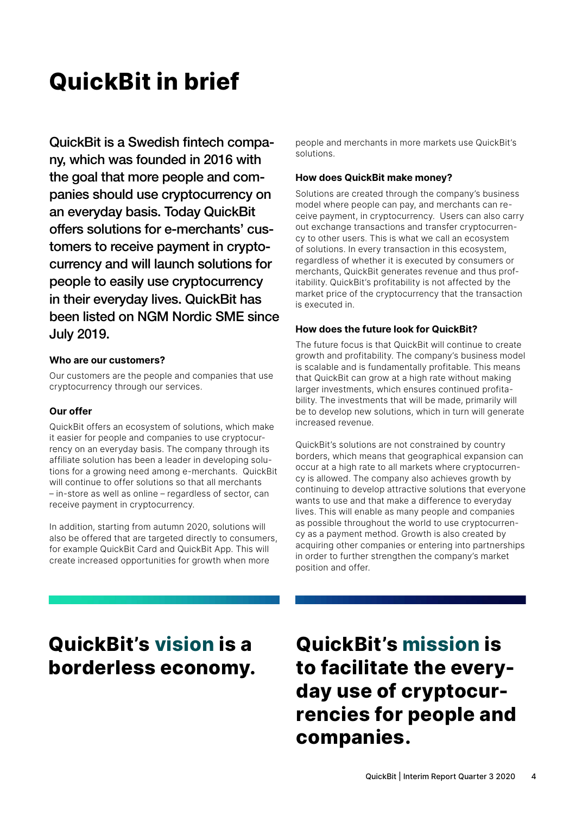### **QuickBit in brief**

QuickBit is a Swedish fintech company, which was founded in 2016 with the goal that more people and companies should use cryptocurrency on an everyday basis. Today QuickBit offers solutions for e-merchants' customers to receive payment in cryptocurrency and will launch solutions for people to easily use cryptocurrency in their everyday lives. QuickBit has been listed on NGM Nordic SME since July 2019.

#### **Who are our customers?**

Our customers are the people and companies that use cryptocurrency through our services.

#### **Our offer**

QuickBit offers an ecosystem of solutions, which make it easier for people and companies to use cryptocurrency on an everyday basis. The company through its affiliate solution has been a leader in developing solutions for a growing need among e-merchants. QuickBit will continue to offer solutions so that all merchants – in-store as well as online – regardless of sector, can receive payment in cryptocurrency.

In addition, starting from autumn 2020, solutions will also be offered that are targeted directly to consumers, for example QuickBit Card and QuickBit App. This will create increased opportunities for growth when more

people and merchants in more markets use QuickBit's solutions.

#### **How does QuickBit make money?**

Solutions are created through the company's business model where people can pay, and merchants can receive payment, in cryptocurrency. Users can also carry out exchange transactions and transfer cryptocurrency to other users. This is what we call an ecosystem of solutions. In every transaction in this ecosystem, regardless of whether it is executed by consumers or merchants, QuickBit generates revenue and thus profitability. QuickBit's profitability is not affected by the market price of the cryptocurrency that the transaction is executed in.

#### **How does the future look for QuickBit?**

The future focus is that QuickBit will continue to create growth and profitability. The company's business model is scalable and is fundamentally profitable. This means that QuickBit can grow at a high rate without making larger investments, which ensures continued profitability. The investments that will be made, primarily will be to develop new solutions, which in turn will generate increased revenue.

QuickBit's solutions are not constrained by country borders, which means that geographical expansion can occur at a high rate to all markets where cryptocurrency is allowed. The company also achieves growth by continuing to develop attractive solutions that everyone wants to use and that make a difference to everyday lives. This will enable as many people and companies as possible throughout the world to use cryptocurrency as a payment method. Growth is also created by acquiring other companies or entering into partnerships in order to further strengthen the company's market position and offer.

### **QuickBit's vision is a borderless economy.**

**QuickBit's mission is to facilitate the everyday use of cryptocurrencies for people and companies.**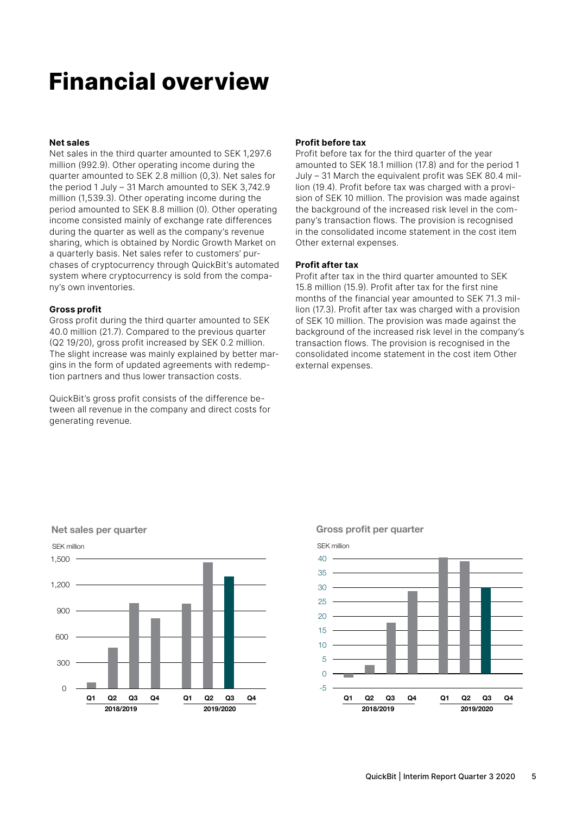### **Financial overview**

#### **Net sales**

Net sales in the third quarter amounted to SEK 1,297.6 million (992.9). Other operating income during the quarter amounted to SEK 2.8 million (0,3). Net sales for the period 1 July – 31 March amounted to SEK 3,742.9 million (1,539.3). Other operating income during the period amounted to SEK 8.8 million (0). Other operating income consisted mainly of exchange rate differences during the quarter as well as the company's revenue sharing, which is obtained by Nordic Growth Market on a quarterly basis. Net sales refer to customers' purchases of cryptocurrency through QuickBit's automated system where cryptocurrency is sold from the company's own inventories.

#### **Gross profit**

Net sales per quarter

Gross profit during the third quarter amounted to SEK 40.0 million (21.7). Compared to the previous quarter (Q2 19/20), gross profit increased by SEK 0.2 million. The slight increase was mainly explained by better margins in the form of updated agreements with redemption partners and thus lower transaction costs.

QuickBit's gross profit consists of the difference between all revenue in the company and direct costs for generating revenue.

#### **Profit before tax**

Profit before tax for the third quarter of the year amounted to SEK 18.1 million (17.8) and for the period 1 July – 31 March the equivalent profit was SEK 80.4 million (19.4). Profit before tax was charged with a provision of SEK 10 million. The provision was made against the background of the increased risk level in the company's transaction flows. The provision is recognised in the consolidated income statement in the cost item Other external expenses.

#### **Profit after tax**

Profit after tax in the third quarter amounted to SEK 15.8 million (15.9). Profit after tax for the first nine months of the financial year amounted to SEK 71.3 million (17.3). Profit after tax was charged with a provision of SEK 10 million. The provision was made against the background of the increased risk level in the company's transaction flows. The provision is recognised in the consolidated income statement in the cost item Other external expenses.



#### Gross profit per quarter

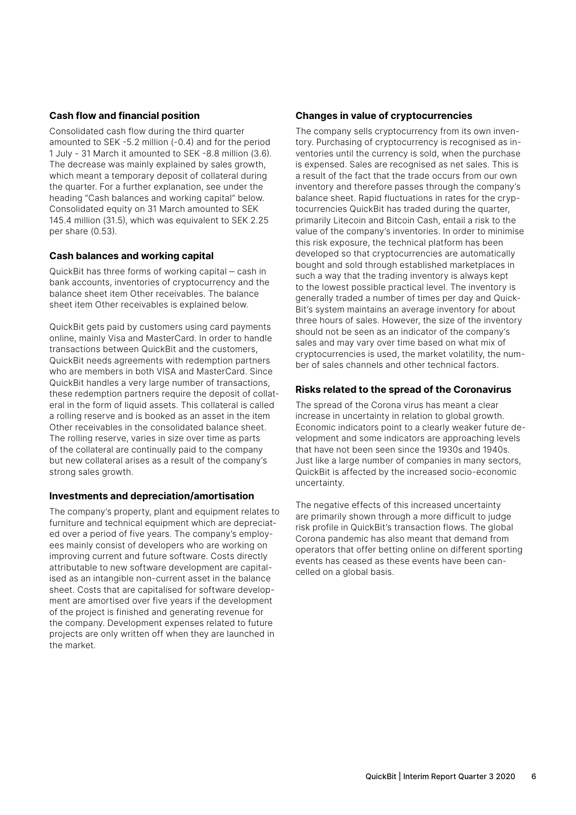#### **Cash flow and financial position**

Consolidated cash flow during the third quarter amounted to SEK -5.2 million (-0.4) and for the period 1 July - 31 March it amounted to SEK -8.8 million (3.6). The decrease was mainly explained by sales growth, which meant a temporary deposit of collateral during the quarter. For a further explanation, see under the heading "Cash balances and working capital" below. Consolidated equity on 31 March amounted to SEK 145.4 million (31.5), which was equivalent to SEK 2.25 per share (0.53).

#### **Cash balances and working capital**

QuickBit has three forms of working capital ‒ cash in bank accounts, inventories of cryptocurrency and the balance sheet item Other receivables. The balance sheet item Other receivables is explained below.

QuickBit gets paid by customers using card payments online, mainly Visa and MasterCard. In order to handle transactions between QuickBit and the customers, QuickBit needs agreements with redemption partners who are members in both VISA and MasterCard. Since QuickBit handles a very large number of transactions, these redemption partners require the deposit of collateral in the form of liquid assets. This collateral is called a rolling reserve and is booked as an asset in the item Other receivables in the consolidated balance sheet. The rolling reserve, varies in size over time as parts of the collateral are continually paid to the company but new collateral arises as a result of the company's strong sales growth.

#### **Investments and depreciation/amortisation**

The company's property, plant and equipment relates to furniture and technical equipment which are depreciated over a period of five years. The company's employees mainly consist of developers who are working on improving current and future software. Costs directly attributable to new software development are capitalised as an intangible non-current asset in the balance sheet. Costs that are capitalised for software development are amortised over five years if the development of the project is finished and generating revenue for the company. Development expenses related to future projects are only written off when they are launched in the market.

#### **Changes in value of cryptocurrencies**

The company sells cryptocurrency from its own inventory. Purchasing of cryptocurrency is recognised as inventories until the currency is sold, when the purchase is expensed. Sales are recognised as net sales. This is a result of the fact that the trade occurs from our own inventory and therefore passes through the company's balance sheet. Rapid fluctuations in rates for the cryptocurrencies QuickBit has traded during the quarter, primarily Litecoin and Bitcoin Cash, entail a risk to the value of the company's inventories. In order to minimise this risk exposure, the technical platform has been developed so that cryptocurrencies are automatically bought and sold through established marketplaces in such a way that the trading inventory is always kept to the lowest possible practical level. The inventory is generally traded a number of times per day and Quick-Bit's system maintains an average inventory for about three hours of sales. However, the size of the inventory should not be seen as an indicator of the company's sales and may vary over time based on what mix of cryptocurrencies is used, the market volatility, the number of sales channels and other technical factors.

#### **Risks related to the spread of the Coronavirus**

The spread of the Corona virus has meant a clear increase in uncertainty in relation to global growth. Economic indicators point to a clearly weaker future development and some indicators are approaching levels that have not been seen since the 1930s and 1940s. Just like a large number of companies in many sectors, QuickBit is affected by the increased socio-economic uncertainty.

The negative effects of this increased uncertainty are primarily shown through a more difficult to judge risk profile in QuickBit's transaction flows. The global Corona pandemic has also meant that demand from operators that offer betting online on different sporting events has ceased as these events have been cancelled on a global basis.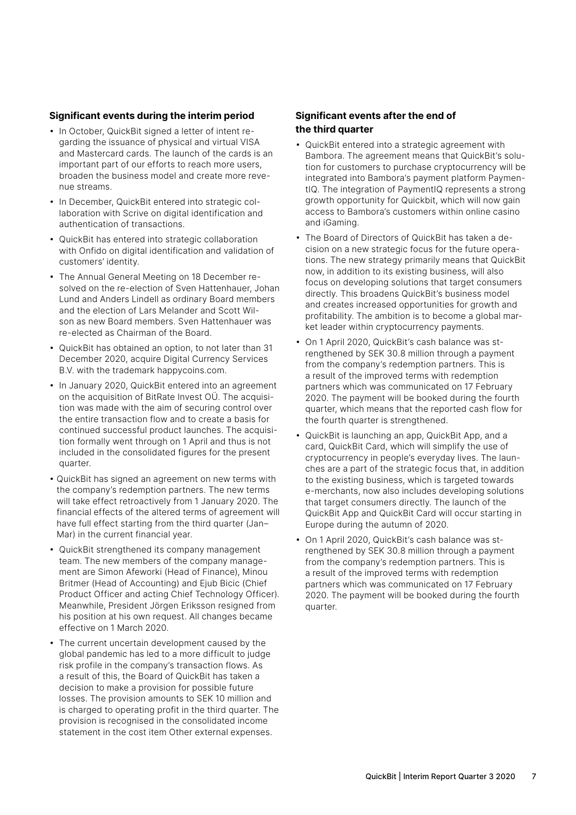#### **Significant events during the interim period**

- In October, QuickBit signed a letter of intent regarding the issuance of physical and virtual VISA and Mastercard cards. The launch of the cards is an important part of our efforts to reach more users, broaden the business model and create more revenue streams.
- In December, QuickBit entered into strategic collaboration with Scrive on digital identification and authentication of transactions.
- QuickBit has entered into strategic collaboration with Onfido on digital identification and validation of customers' identity.
- The Annual General Meeting on 18 December resolved on the re-election of Sven Hattenhauer, Johan Lund and Anders Lindell as ordinary Board members and the election of Lars Melander and Scott Wilson as new Board members. Sven Hattenhauer was re-elected as Chairman of the Board.
- QuickBit has obtained an option, to not later than 31 December 2020, acquire Digital Currency Services B.V. with the trademark happycoins.com.
- In January 2020, QuickBit entered into an agreement on the acquisition of BitRate Invest OÜ. The acquisition was made with the aim of securing control over the entire transaction flow and to create a basis for continued successful product launches. The acquisition formally went through on 1 April and thus is not included in the consolidated figures for the present quarter.
- QuickBit has signed an agreement on new terms with the company's redemption partners. The new terms will take effect retroactively from 1 January 2020. The financial effects of the altered terms of agreement will have full effect starting from the third quarter (Jan– Mar) in the current financial year.
- QuickBit strengthened its company management team. The new members of the company management are Simon Afeworki (Head of Finance), Minou Britmer (Head of Accounting) and Ejub Bicic (Chief Product Officer and acting Chief Technology Officer). Meanwhile, President Jörgen Eriksson resigned from his position at his own request. All changes became effective on 1 March 2020.
- The current uncertain development caused by the global pandemic has led to a more difficult to judge risk profile in the company's transaction flows. As a result of this, the Board of QuickBit has taken a decision to make a provision for possible future losses. The provision amounts to SEK 10 million and is charged to operating profit in the third quarter. The provision is recognised in the consolidated income statement in the cost item Other external expenses.

#### **Significant events after the end of the third quarter**

- QuickBit entered into a strategic agreement with Bambora. The agreement means that QuickBit's solution for customers to purchase cryptocurrency will be integrated into Bambora's payment platform PaymentIQ. The integration of PaymentIQ represents a strong growth opportunity for Quickbit, which will now gain access to Bambora's customers within online casino and iGaming.
- The Board of Directors of QuickBit has taken a decision on a new strategic focus for the future operations. The new strategy primarily means that QuickBit now, in addition to its existing business, will also focus on developing solutions that target consumers directly. This broadens QuickBit's business model and creates increased opportunities for growth and profitability. The ambition is to become a global market leader within cryptocurrency payments.
- On 1 April 2020, QuickBit's cash balance was strengthened by SEK 30.8 million through a payment from the company's redemption partners. This is a result of the improved terms with redemption partners which was communicated on 17 February 2020. The payment will be booked during the fourth quarter, which means that the reported cash flow for the fourth quarter is strengthened.
- QuickBit is launching an app, QuickBit App, and a card, QuickBit Card, which will simplify the use of cryptocurrency in people's everyday lives. The launches are a part of the strategic focus that, in addition to the existing business, which is targeted towards e-merchants, now also includes developing solutions that target consumers directly. The launch of the QuickBit App and QuickBit Card will occur starting in Europe during the autumn of 2020.
- On 1 April 2020, QuickBit's cash balance was strengthened by SEK 30.8 million through a payment from the company's redemption partners. This is a result of the improved terms with redemption partners which was communicated on 17 February 2020. The payment will be booked during the fourth quarter.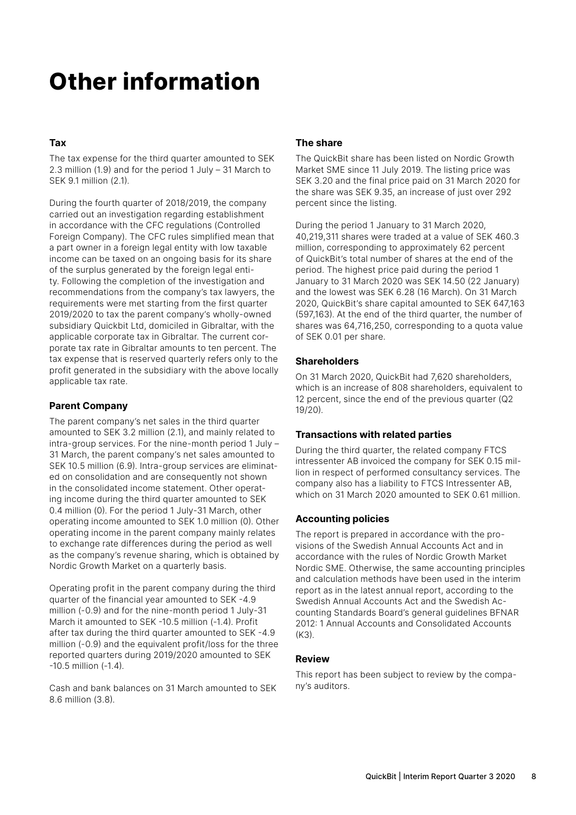### **Other information**

#### **Tax**

The tax expense for the third quarter amounted to SEK 2.3 million (1.9) and for the period 1 July – 31 March to SEK 9.1 million (2.1).

During the fourth quarter of 2018/2019, the company carried out an investigation regarding establishment in accordance with the CFC regulations (Controlled Foreign Company). The CFC rules simplified mean that a part owner in a foreign legal entity with low taxable income can be taxed on an ongoing basis for its share of the surplus generated by the foreign legal entity. Following the completion of the investigation and recommendations from the company's tax lawyers, the requirements were met starting from the first quarter 2019/2020 to tax the parent company's wholly-owned subsidiary Quickbit Ltd, domiciled in Gibraltar, with the applicable corporate tax in Gibraltar. The current corporate tax rate in Gibraltar amounts to ten percent. The tax expense that is reserved quarterly refers only to the profit generated in the subsidiary with the above locally applicable tax rate.

#### **Parent Company**

The parent company's net sales in the third quarter amounted to SEK 3.2 million (2.1), and mainly related to intra-group services. For the nine-month period 1 July – 31 March, the parent company's net sales amounted to SEK 10.5 million (6.9). Intra-group services are eliminated on consolidation and are consequently not shown in the consolidated income statement. Other operating income during the third quarter amounted to SEK 0.4 million (0). For the period 1 July-31 March, other operating income amounted to SEK 1.0 million (0). Other operating income in the parent company mainly relates to exchange rate differences during the period as well as the company's revenue sharing, which is obtained by Nordic Growth Market on a quarterly basis.

Operating profit in the parent company during the third quarter of the financial year amounted to SEK -4.9 million (-0.9) and for the nine-month period 1 July-31 March it amounted to SEK -10.5 million (-1.4). Profit after tax during the third quarter amounted to SEK -4.9 million (-0.9) and the equivalent profit/loss for the three reported quarters during 2019/2020 amounted to SEK -10.5 million (-1.4).

Cash and bank balances on 31 March amounted to SEK 8.6 million (3.8).

#### **The share**

The QuickBit share has been listed on Nordic Growth Market SME since 11 July 2019. The listing price was SEK 3.20 and the final price paid on 31 March 2020 for the share was SEK 9.35, an increase of just over 292 percent since the listing.

During the period 1 January to 31 March 2020, 40,219,311 shares were traded at a value of SEK 460.3 million, corresponding to approximately 62 percent of QuickBit's total number of shares at the end of the period. The highest price paid during the period 1 January to 31 March 2020 was SEK 14.50 (22 January) and the lowest was SEK 6.28 (16 March). On 31 March 2020, QuickBit's share capital amounted to SEK 647,163 (597,163). At the end of the third quarter, the number of shares was 64,716,250, corresponding to a quota value of SEK 0.01 per share.

#### **Shareholders**

On 31 March 2020, QuickBit had 7,620 shareholders, which is an increase of 808 shareholders, equivalent to 12 percent, since the end of the previous quarter (Q2 19/20).

#### **Transactions with related parties**

During the third quarter, the related company FTCS intressenter AB invoiced the company for SEK 0.15 million in respect of performed consultancy services. The company also has a liability to FTCS Intressenter AB, which on 31 March 2020 amounted to SEK 0.61 million.

#### **Accounting policies**

The report is prepared in accordance with the provisions of the Swedish Annual Accounts Act and in accordance with the rules of Nordic Growth Market Nordic SME. Otherwise, the same accounting principles and calculation methods have been used in the interim report as in the latest annual report, according to the Swedish Annual Accounts Act and the Swedish Accounting Standards Board's general guidelines BFNAR 2012: 1 Annual Accounts and Consolidated Accounts  $(K3)$ 

#### **Review**

This report has been subject to review by the company's auditors.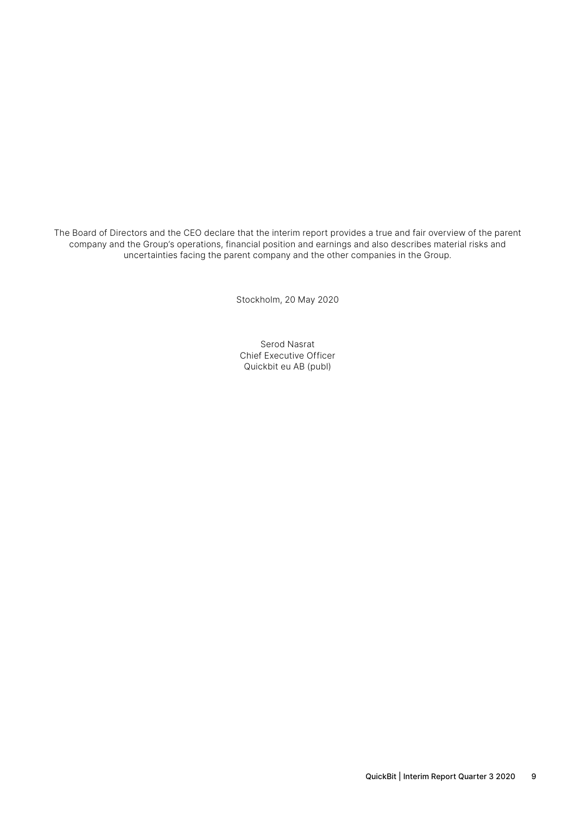The Board of Directors and the CEO declare that the interim report provides a true and fair overview of the parent company and the Group's operations, financial position and earnings and also describes material risks and uncertainties facing the parent company and the other companies in the Group.

Stockholm, 20 May 2020

Serod Nasrat Chief Executive Officer Quickbit eu AB (publ)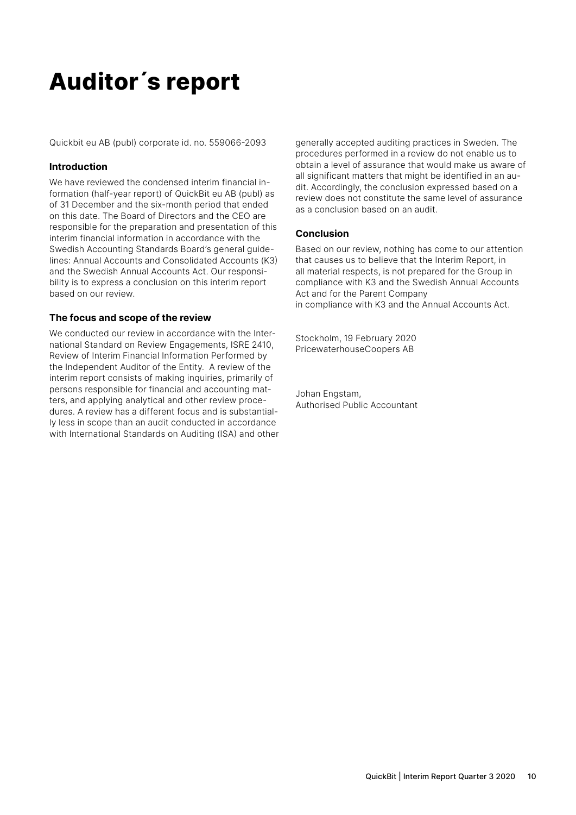### **Auditor´s report**

Quickbit eu AB (publ) corporate id. no. 559066-2093

#### **Introduction**

We have reviewed the condensed interim financial information (half-year report) of QuickBit eu AB (publ) as of 31 December and the six-month period that ended on this date. The Board of Directors and the CEO are responsible for the preparation and presentation of this interim financial information in accordance with the Swedish Accounting Standards Board's general guidelines: Annual Accounts and Consolidated Accounts (K3) and the Swedish Annual Accounts Act. Our responsibility is to express a conclusion on this interim report based on our review.

#### **The focus and scope of the review**

We conducted our review in accordance with the International Standard on Review Engagements, ISRE 2410, Review of Interim Financial Information Performed by the Independent Auditor of the Entity. A review of the interim report consists of making inquiries, primarily of persons responsible for financial and accounting matters, and applying analytical and other review procedures. A review has a different focus and is substantially less in scope than an audit conducted in accordance with International Standards on Auditing (ISA) and other generally accepted auditing practices in Sweden. The procedures performed in a review do not enable us to obtain a level of assurance that would make us aware of all significant matters that might be identified in an audit. Accordingly, the conclusion expressed based on a review does not constitute the same level of assurance as a conclusion based on an audit.

#### **Conclusion**

Based on our review, nothing has come to our attention that causes us to believe that the Interim Report, in all material respects, is not prepared for the Group in compliance with K3 and the Swedish Annual Accounts Act and for the Parent Company in compliance with K3 and the Annual Accounts Act.

Stockholm, 19 February 2020 PricewaterhouseCoopers AB

Johan Engstam, Authorised Public Accountant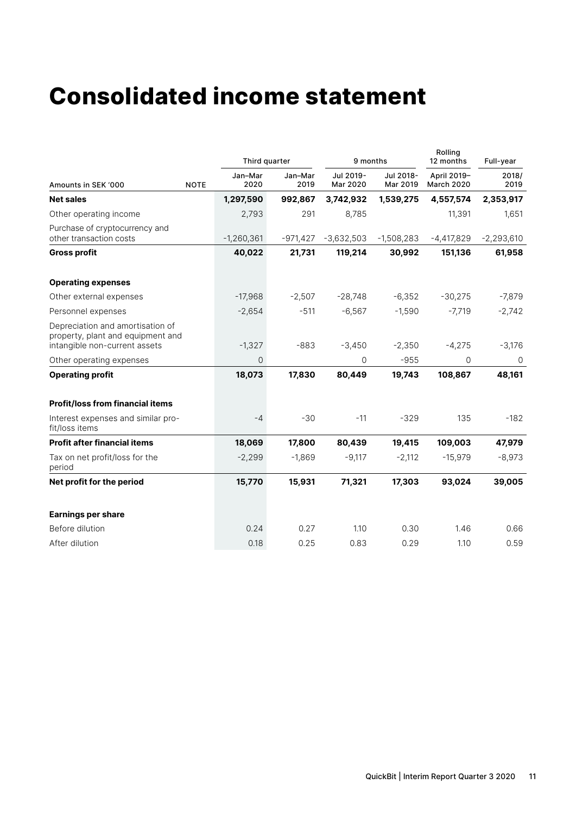### **Consolidated income statement**

|                                                                                                        |             | Third quarter   |                 | 9 months              |                       | Rolling<br>12 months             | Full-year     |  |
|--------------------------------------------------------------------------------------------------------|-------------|-----------------|-----------------|-----------------------|-----------------------|----------------------------------|---------------|--|
| Amounts in SEK '000                                                                                    | <b>NOTE</b> | Jan-Mar<br>2020 | Jan-Mar<br>2019 | Jul 2019-<br>Mar 2020 | Jul 2018-<br>Mar 2019 | April 2019-<br><b>March 2020</b> | 2018/<br>2019 |  |
| <b>Net sales</b>                                                                                       |             | 1,297,590       | 992,867         | 3,742,932             | 1,539,275             | 4,557,574                        | 2,353,917     |  |
| Other operating income                                                                                 |             | 2,793           | 291             | 8,785                 |                       | 11,391                           | 1,651         |  |
| Purchase of cryptocurrency and<br>other transaction costs                                              |             | $-1,260,361$    | $-971,427$      | $-3,632,503$          | $-1,508,283$          | $-4,417,829$                     | $-2,293,610$  |  |
| <b>Gross profit</b>                                                                                    |             | 40,022          | 21,731          | 119,214               | 30,992                | 151,136                          | 61,958        |  |
| <b>Operating expenses</b>                                                                              |             |                 |                 |                       |                       |                                  |               |  |
| Other external expenses                                                                                |             | $-17,968$       | $-2,507$        | $-28,748$             | $-6,352$              | $-30,275$                        | $-7,879$      |  |
| Personnel expenses                                                                                     |             | $-2,654$        | $-511$          | $-6,567$              | $-1,590$              | $-7,719$                         | $-2,742$      |  |
| Depreciation and amortisation of<br>property, plant and equipment and<br>intangible non-current assets |             | $-1,327$        | $-883$          | $-3,450$              | $-2,350$              | $-4,275$                         | $-3,176$      |  |
| Other operating expenses                                                                               |             | 0               |                 | 0                     | $-955$                | $\Omega$                         | $\mathbf 0$   |  |
| <b>Operating profit</b>                                                                                |             | 18,073          | 17,830          | 80,449                | 19,743                | 108,867                          | 48,161        |  |
| <b>Profit/loss from financial items</b>                                                                |             |                 |                 |                       |                       |                                  |               |  |
| Interest expenses and similar pro-<br>fit/loss items                                                   |             | $-4$            | $-30$           | $-11$                 | $-329$                | 135                              | $-182$        |  |
| <b>Profit after financial items</b>                                                                    |             | 18,069          | 17,800          | 80,439                | 19,415                | 109,003                          | 47,979        |  |
| Tax on net profit/loss for the<br>period                                                               |             | $-2,299$        | $-1,869$        | $-9,117$              | $-2,112$              | $-15,979$                        | $-8,973$      |  |
| Net profit for the period                                                                              |             | 15,770          | 15,931          | 71,321                | 17,303                | 93,024                           | 39,005        |  |
| <b>Earnings per share</b>                                                                              |             |                 |                 |                       |                       |                                  |               |  |
| Before dilution                                                                                        |             | 0.24            | 0.27            | 1.10                  | 0.30                  | 1.46                             | 0.66          |  |
| After dilution                                                                                         |             | 0.18            | 0.25            | 0.83                  | 0.29                  | 1.10                             | 0.59          |  |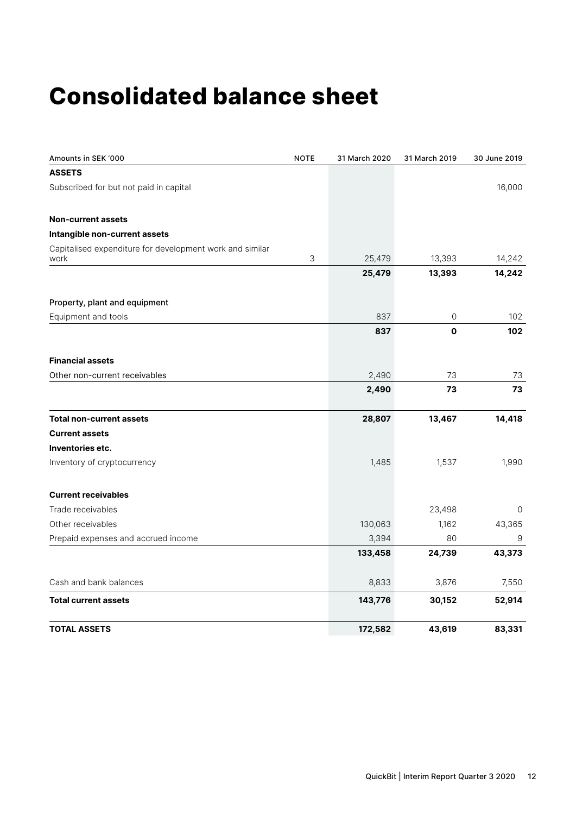### **Consolidated balance sheet**

| Amounts in SEK '000                                              | <b>NOTE</b> | 31 March 2020 | 31 March 2019 | 30 June 2019 |
|------------------------------------------------------------------|-------------|---------------|---------------|--------------|
| <b>ASSETS</b>                                                    |             |               |               |              |
| Subscribed for but not paid in capital                           |             |               |               | 16,000       |
| <b>Non-current assets</b>                                        |             |               |               |              |
| Intangible non-current assets                                    |             |               |               |              |
| Capitalised expenditure for development work and similar<br>work | 3           | 25,479        | 13,393        | 14,242       |
|                                                                  |             | 25,479        | 13,393        | 14,242       |
| Property, plant and equipment                                    |             |               |               |              |
| Equipment and tools                                              |             | 837           | 0             | 102          |
|                                                                  |             | 837           | $\mathbf 0$   | 102          |
| <b>Financial assets</b>                                          |             |               |               |              |
| Other non-current receivables                                    |             | 2,490         | 73            | 73           |
|                                                                  |             | 2,490         | 73            | 73           |
| <b>Total non-current assets</b>                                  |             | 28,807        | 13,467        | 14,418       |
| <b>Current assets</b>                                            |             |               |               |              |
| Inventories etc.                                                 |             |               |               |              |
| Inventory of cryptocurrency                                      |             | 1,485         | 1,537         | 1,990        |
| <b>Current receivables</b>                                       |             |               |               |              |
| Trade receivables                                                |             |               | 23,498        | $\Omega$     |
| Other receivables                                                |             | 130,063       | 1,162         | 43,365       |
| Prepaid expenses and accrued income                              |             | 3,394         | 80            | 9            |
|                                                                  |             | 133,458       | 24,739        | 43,373       |
| Cash and bank balances                                           |             | 8,833         | 3,876         | 7,550        |
| <b>Total current assets</b>                                      |             | 143,776       | 30,152        | 52,914       |
| <b>TOTAL ASSETS</b>                                              |             | 172,582       | 43,619        | 83,331       |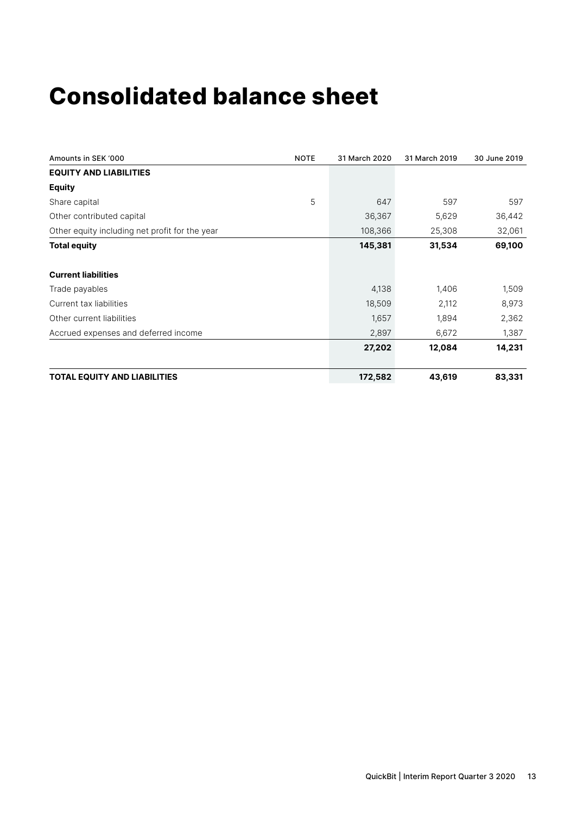### **Consolidated balance sheet**

| Amounts in SEK '000                            | <b>NOTE</b> | 31 March 2020 | 31 March 2019 | 30 June 2019 |
|------------------------------------------------|-------------|---------------|---------------|--------------|
| <b>EQUITY AND LIABILITIES</b>                  |             |               |               |              |
| <b>Equity</b>                                  |             |               |               |              |
| Share capital                                  | 5           | 647           | 597           | 597          |
| Other contributed capital                      |             | 36,367        | 5,629         | 36,442       |
| Other equity including net profit for the year |             | 108,366       | 25,308        | 32,061       |
| <b>Total equity</b>                            |             | 145,381       | 31,534        | 69,100       |
| <b>Current liabilities</b>                     |             |               |               |              |
| Trade payables                                 |             | 4,138         | 1,406         | 1,509        |
| Current tax liabilities                        |             | 18,509        | 2,112         | 8,973        |
| Other current liabilities                      |             | 1,657         | 1,894         | 2,362        |
| Accrued expenses and deferred income           |             | 2,897         | 6,672         | 1,387        |
|                                                |             | 27,202        | 12,084        | 14,231       |
| <b>TOTAL EQUITY AND LIABILITIES</b>            |             | 172,582       | 43,619        | 83,331       |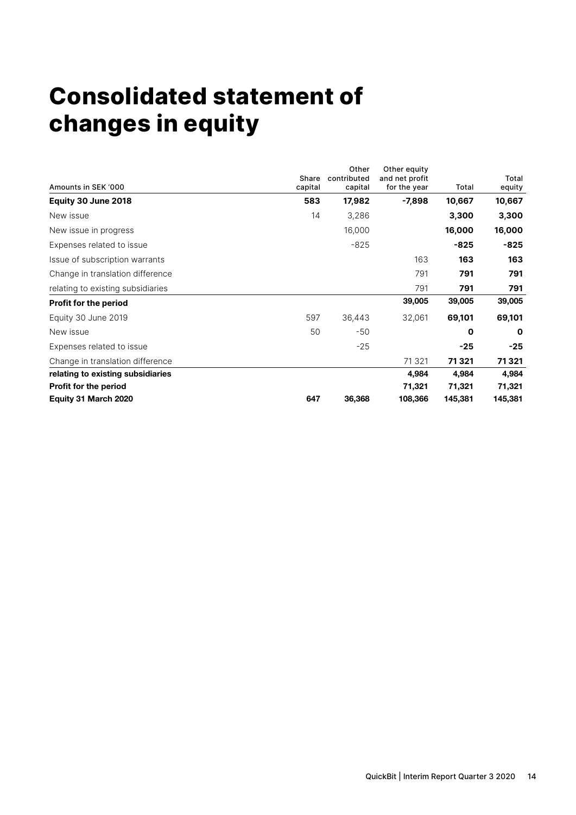## **Consolidated statement of changes in equity**

| Amounts in SEK '000               | Share<br>capital | Other<br>contributed<br>capital | Other equity<br>and net profit<br>for the year | Total   | Total<br>equity |
|-----------------------------------|------------------|---------------------------------|------------------------------------------------|---------|-----------------|
| Equity 30 June 2018               | 583              | 17,982                          | $-7,898$                                       | 10,667  | 10,667          |
| New issue                         | 14               | 3,286                           |                                                | 3,300   | 3,300           |
| New issue in progress             |                  | 16,000                          |                                                | 16,000  | 16,000          |
| Expenses related to issue         |                  | $-825$                          |                                                | $-825$  | -825            |
| Issue of subscription warrants    |                  |                                 | 163                                            | 163     | 163             |
| Change in translation difference  |                  |                                 | 791                                            | 791     | 791             |
| relating to existing subsidiaries |                  |                                 | 791                                            | 791     | 791             |
| <b>Profit for the period</b>      |                  |                                 | 39,005                                         | 39,005  | 39,005          |
| Equity 30 June 2019               | 597              | 36,443                          | 32,061                                         | 69,101  | 69,101          |
| New issue                         | 50               | -50                             |                                                | 0       | $\mathbf 0$     |
| Expenses related to issue         |                  | $-25$                           |                                                | $-25$   | $-25$           |
| Change in translation difference  |                  |                                 | 71 3 21                                        | 71321   | 71321           |
| relating to existing subsidiaries |                  |                                 | 4,984                                          | 4,984   | 4,984           |
| <b>Profit for the period</b>      |                  |                                 | 71,321                                         | 71,321  | 71,321          |
| Equity 31 March 2020              | 647              | 36,368                          | 108,366                                        | 145,381 | 145,381         |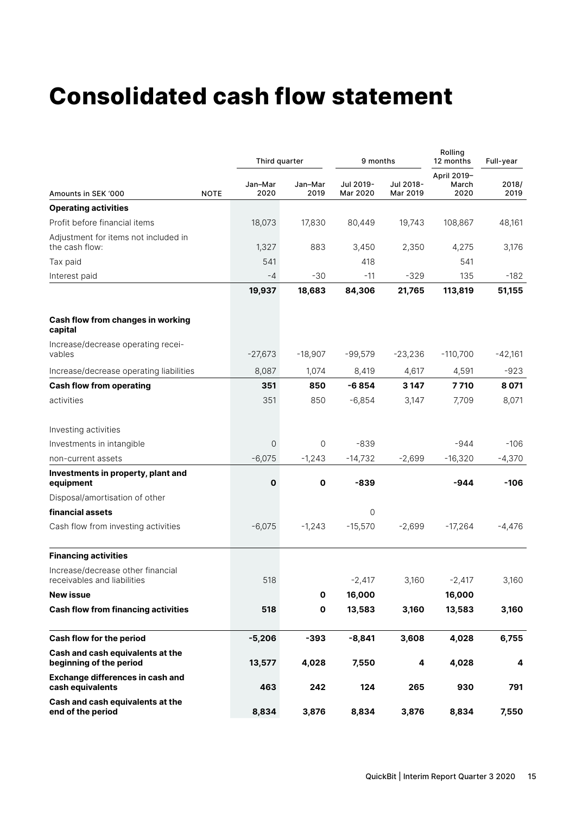### **Consolidated cash flow statement**

|                                                                  |             | Third quarter   |                 | 9 months              |                       |                              | Full-year     |
|------------------------------------------------------------------|-------------|-----------------|-----------------|-----------------------|-----------------------|------------------------------|---------------|
| Amounts in SEK '000                                              | <b>NOTE</b> | Jan-Mar<br>2020 | Jan-Mar<br>2019 | Jul 2019-<br>Mar 2020 | Jul 2018-<br>Mar 2019 | April 2019-<br>March<br>2020 | 2018/<br>2019 |
| <b>Operating activities</b>                                      |             |                 |                 |                       |                       |                              |               |
| Profit before financial items                                    |             | 18,073          | 17,830          | 80,449                | 19,743                | 108,867                      | 48,161        |
| Adjustment for items not included in<br>the cash flow:           |             | 1,327           | 883             | 3,450                 | 2,350                 | 4,275                        | 3,176         |
| Tax paid                                                         |             | 541             |                 | 418                   |                       | 541                          |               |
| Interest paid                                                    |             | -4              | $-30$           | $-11$                 | $-329$                | 135                          | $-182$        |
|                                                                  |             | 19,937          | 18,683          | 84,306                | 21,765                | 113,819                      | 51,155        |
| Cash flow from changes in working<br>capital                     |             |                 |                 |                       |                       |                              |               |
| Increase/decrease operating recei-<br>vables                     |             | $-27,673$       | $-18,907$       | $-99,579$             | $-23,236$             | $-110,700$                   | $-42,161$     |
| Increase/decrease operating liabilities                          |             | 8,087           | 1,074           | 8,419                 | 4,617                 | 4,591                        | $-923$        |
| <b>Cash flow from operating</b>                                  |             | 351             | 850             | -6854                 | 3 147                 | 7 7 10                       | 8071          |
| activities                                                       |             | 351             | 850             | $-6,854$              | 3,147                 | 7,709                        | 8,071         |
| Investing activities                                             |             |                 |                 |                       |                       |                              |               |
| Investments in intangible                                        |             | 0               | 0               | $-839$                |                       | $-944$                       | $-106$        |
| non-current assets                                               |             | $-6,075$        | $-1,243$        | $-14,732$             | $-2,699$              | $-16,320$                    | $-4,370$      |
| Investments in property, plant and<br>equipment                  |             | $\mathbf o$     | $\mathbf o$     | $-839$                |                       | -944                         | $-106$        |
| Disposal/amortisation of other                                   |             |                 |                 |                       |                       |                              |               |
| financial assets                                                 |             |                 |                 | $\circ$               |                       |                              |               |
| Cash flow from investing activities                              |             | $-6,075$        | $-1,243$        | $-15,570$             | $-2,699$              | $-17,264$                    | $-4,476$      |
| <b>Financing activities</b>                                      |             |                 |                 |                       |                       |                              |               |
| Increase/decrease other financial<br>receivables and liabilities |             | 518             |                 | $-2,417$              | 3,160                 | $-2,417$                     | 3,160         |
| <b>New issue</b>                                                 |             |                 | $\mathbf{o}$    | 16,000                |                       | 16,000                       |               |
| <b>Cash flow from financing activities</b>                       |             | 518             | $\mathbf 0$     | 13,583                | 3,160                 | 13,583                       | 3,160         |
| Cash flow for the period                                         |             | $-5,206$        | $-393$          | $-8,841$              | 3,608                 | 4,028                        | 6,755         |
| Cash and cash equivalents at the<br>beginning of the period      |             | 13,577          | 4,028           | 7,550                 | 4                     | 4,028                        | 4             |
| <b>Exchange differences in cash and</b><br>cash equivalents      |             | 463             | 242             | 124                   | 265                   | 930                          | 791           |
| Cash and cash equivalents at the<br>end of the period            |             | 8,834           | 3,876           | 8,834                 | 3,876                 | 8,834                        | 7,550         |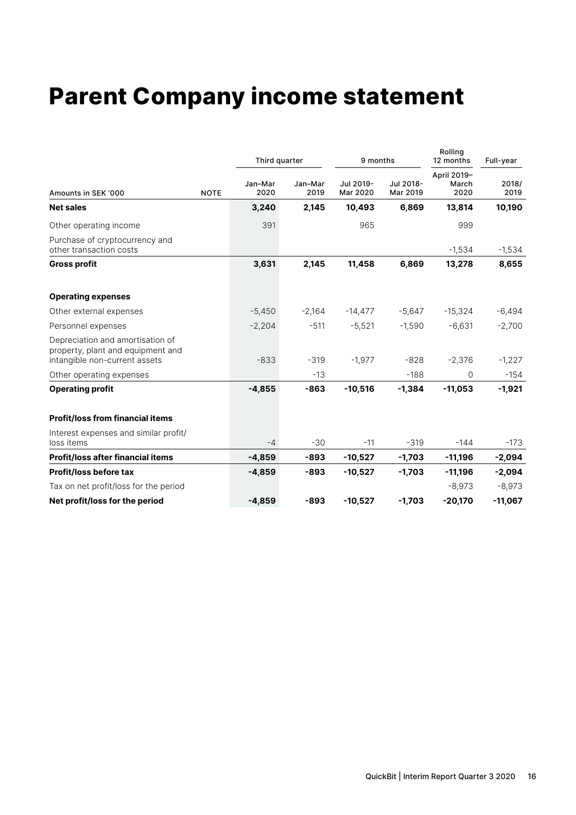### **Parent Company income statement**

|                                                                                                        |             | Third quarter   |                 | 9 months              |                       | Rolling<br>12 months<br>April 2019-<br>March<br>2020 | Full-year     |
|--------------------------------------------------------------------------------------------------------|-------------|-----------------|-----------------|-----------------------|-----------------------|------------------------------------------------------|---------------|
| Amounts in SEK '000                                                                                    | <b>NOTE</b> | Jan-Mar<br>2020 | Jan-Mar<br>2019 | Jul 2019-<br>Mar 2020 | Jul 2018-<br>Mar 2019 |                                                      | 2018/<br>2019 |
| <b>Net sales</b>                                                                                       |             | 3,240           | 2,145           | 10,493                | 6,869                 | 13,814                                               | 10,190        |
| Other operating income                                                                                 |             | 391             |                 | 965                   |                       | 999                                                  |               |
| Purchase of cryptocurrency and<br>other transaction costs                                              |             |                 |                 |                       |                       | $-1,534$                                             | $-1,534$      |
| <b>Gross profit</b>                                                                                    |             | 3,631           | 2,145           | 11,458                | 6,869                 | 13,278                                               | 8,655         |
| <b>Operating expenses</b>                                                                              |             |                 |                 |                       |                       |                                                      |               |
| Other external expenses                                                                                |             | $-5,450$        | $-2,164$        | $-14,477$             | $-5,647$              | $-15,324$                                            | $-6,494$      |
| Personnel expenses                                                                                     |             | $-2,204$        | $-511$          | $-5,521$              | $-1,590$              | $-6,631$                                             | $-2,700$      |
| Depreciation and amortisation of<br>property, plant and equipment and<br>intangible non-current assets |             | $-833$          | $-319$          | $-1,977$              | $-828$                | $-2,376$                                             | $-1,227$      |
| Other operating expenses                                                                               |             |                 | $-13$           |                       | $-188$                | 0                                                    | $-154$        |
| <b>Operating profit</b>                                                                                |             | $-4,855$        | $-863$          | $-10,516$             | $-1,384$              | $-11,053$                                            | $-1,921$      |
| <b>Profit/loss from financial items</b>                                                                |             |                 |                 |                       |                       |                                                      |               |
| Interest expenses and similar profit/<br>loss items                                                    |             | $-4$            | $-30$           | $-11$                 | $-319$                | $-144$                                               | $-173$        |
| <b>Profit/loss after financial items</b>                                                               |             | $-4,859$        | $-893$          | $-10,527$             | $-1,703$              | $-11,196$                                            | $-2,094$      |
| <b>Profit/loss before tax</b>                                                                          |             | $-4,859$        | $-893$          | $-10,527$             | $-1,703$              | $-11,196$                                            | $-2,094$      |
| Tax on net profit/loss for the period                                                                  |             |                 |                 |                       |                       | $-8,973$                                             | $-8,973$      |
| Net profit/loss for the period                                                                         |             | $-4,859$        | $-893$          | $-10,527$             | $-1,703$              | $-20,170$                                            | $-11,067$     |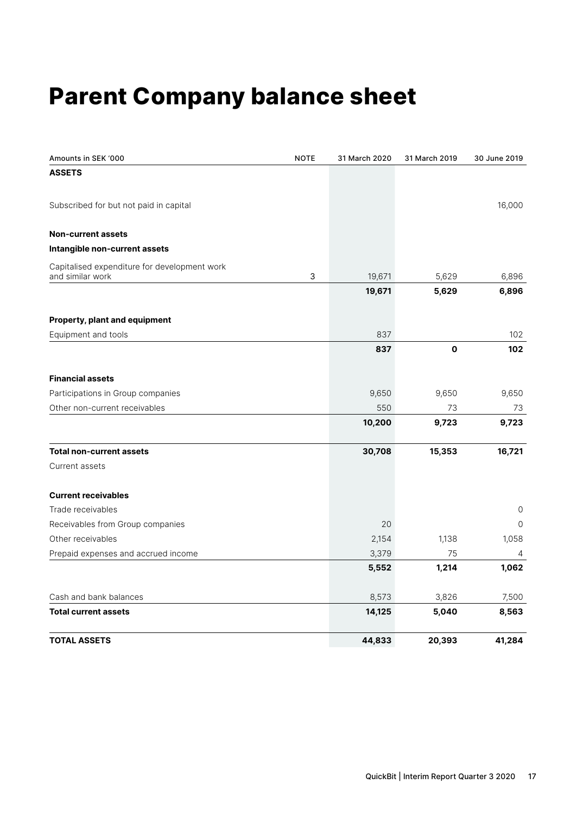### **Parent Company balance sheet**

| Amounts in SEK '000                          | <b>NOTE</b> | 31 March 2020 | 31 March 2019 | 30 June 2019 |
|----------------------------------------------|-------------|---------------|---------------|--------------|
| <b>ASSETS</b>                                |             |               |               |              |
| Subscribed for but not paid in capital       |             |               |               | 16,000       |
| <b>Non-current assets</b>                    |             |               |               |              |
| Intangible non-current assets                |             |               |               |              |
| Capitalised expenditure for development work |             |               |               |              |
| and similar work                             | 3           | 19,671        | 5,629         | 6,896        |
|                                              |             | 19,671        | 5,629         | 6,896        |
| Property, plant and equipment                |             |               |               |              |
| Equipment and tools                          |             | 837           |               | 102          |
|                                              |             | 837           | $\mathbf 0$   | 102          |
| <b>Financial assets</b>                      |             |               |               |              |
| Participations in Group companies            |             | 9,650         | 9,650         | 9,650        |
| Other non-current receivables                |             | 550           | 73            | 73           |
|                                              |             | 10,200        | 9,723         | 9,723        |
| <b>Total non-current assets</b>              |             | 30,708        | 15,353        | 16,721       |
| Current assets                               |             |               |               |              |
| <b>Current receivables</b>                   |             |               |               |              |
| Trade receivables                            |             |               |               | 0            |
| Receivables from Group companies             |             | 20            |               | $\Omega$     |
| Other receivables                            |             | 2,154         | 1,138         | 1,058        |
| Prepaid expenses and accrued income          |             | 3,379         | 75            | 4            |
|                                              |             | 5,552         | 1,214         | 1,062        |
| Cash and bank balances                       |             | 8,573         | 3,826         | 7,500        |
| <b>Total current assets</b>                  |             | 14,125        | 5,040         | 8,563        |
| <b>TOTAL ASSETS</b>                          |             | 44,833        | 20,393        | 41,284       |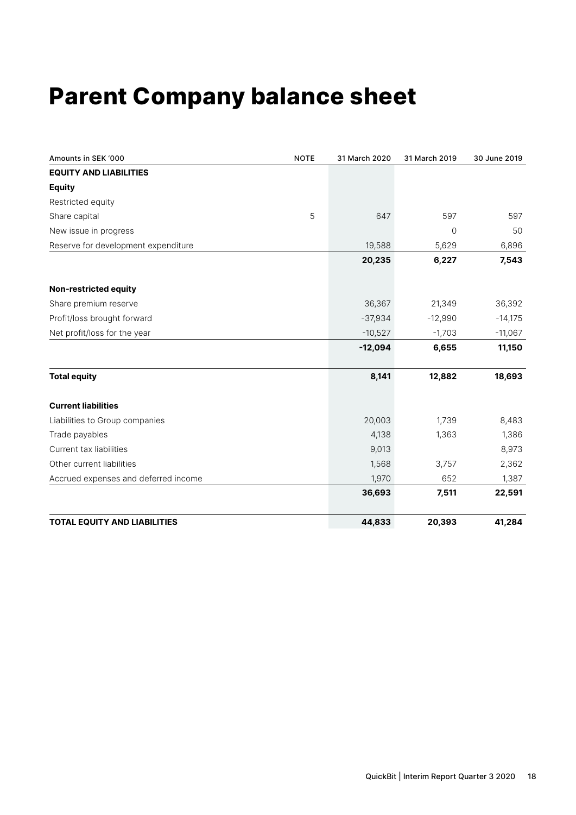### **Parent Company balance sheet**

| Amounts in SEK '000                  | <b>NOTE</b> | 31 March 2020 | 31 March 2019 | 30 June 2019 |
|--------------------------------------|-------------|---------------|---------------|--------------|
| <b>EQUITY AND LIABILITIES</b>        |             |               |               |              |
| <b>Equity</b>                        |             |               |               |              |
| Restricted equity                    |             |               |               |              |
| Share capital                        | 5           | 647           | 597           | 597          |
| New issue in progress                |             |               | 0             | 50           |
| Reserve for development expenditure  |             | 19,588        | 5,629         | 6,896        |
|                                      |             | 20,235        | 6,227         | 7,543        |
| Non-restricted equity                |             |               |               |              |
| Share premium reserve                |             | 36,367        | 21,349        | 36,392       |
| Profit/loss brought forward          |             | $-37,934$     | $-12,990$     | $-14,175$    |
| Net profit/loss for the year         |             | $-10,527$     | $-1,703$      | $-11,067$    |
|                                      |             | $-12,094$     | 6,655         | 11,150       |
| <b>Total equity</b>                  |             | 8,141         | 12,882        | 18,693       |
| <b>Current liabilities</b>           |             |               |               |              |
| Liabilities to Group companies       |             | 20,003        | 1,739         | 8,483        |
| Trade payables                       |             | 4,138         | 1,363         | 1,386        |
| Current tax liabilities              |             | 9,013         |               | 8,973        |
| Other current liabilities            |             | 1,568         | 3,757         | 2,362        |
| Accrued expenses and deferred income |             | 1,970         | 652           | 1,387        |
|                                      |             | 36,693        | 7,511         | 22,591       |
| <b>TOTAL EQUITY AND LIABILITIES</b>  |             | 44,833        | 20,393        | 41,284       |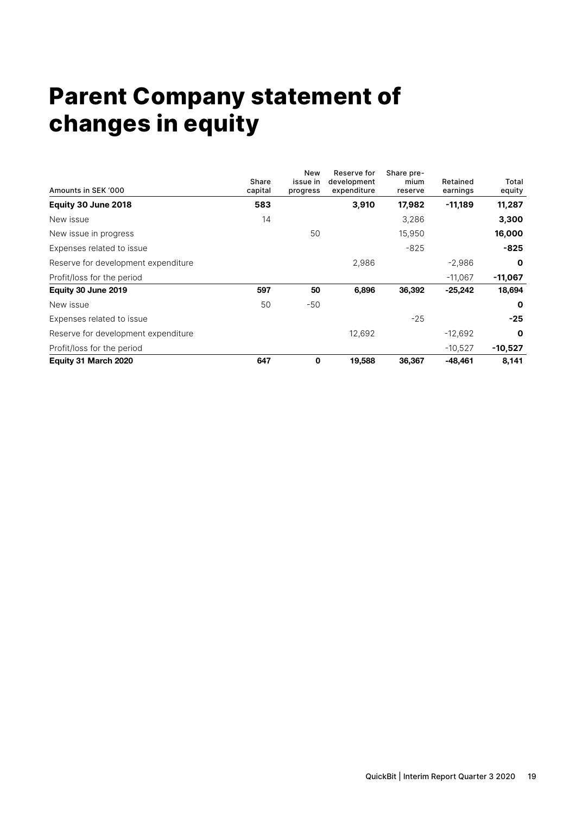### **Parent Company statement of changes in equity**

| Amounts in SEK '000                 | Share<br>capital | New<br>issue in<br>progress | Reserve for<br>development<br>expenditure | Share pre-<br>mium<br>reserve | Retained<br>earnings | Total<br>equity |
|-------------------------------------|------------------|-----------------------------|-------------------------------------------|-------------------------------|----------------------|-----------------|
| Equity 30 June 2018                 | 583              |                             | 3,910                                     | 17,982                        | $-11,189$            | 11,287          |
| New issue                           | 14               |                             |                                           | 3,286                         |                      | 3,300           |
| New issue in progress               |                  | 50                          |                                           | 15,950                        |                      | 16,000          |
| Expenses related to issue           |                  |                             |                                           | $-825$                        |                      | $-825$          |
| Reserve for development expenditure |                  |                             | 2,986                                     |                               | $-2,986$             | $\mathbf 0$     |
| Profit/loss for the period          |                  |                             |                                           |                               | $-11,067$            | $-11,067$       |
| Equity 30 June 2019                 | 597              | 50                          | 6,896                                     | 36,392                        | $-25,242$            | 18,694          |
| New issue                           | 50               | $-50$                       |                                           |                               |                      | $\mathbf 0$     |
| Expenses related to issue           |                  |                             |                                           | $-25$                         |                      | $-25$           |
| Reserve for development expenditure |                  |                             | 12,692                                    |                               | $-12,692$            | $\mathbf 0$     |
| Profit/loss for the period          |                  |                             |                                           |                               | $-10,527$            | $-10,527$       |
| Equity 31 March 2020                | 647              | 0                           | 19,588                                    | 36,367                        | $-48,461$            | 8,141           |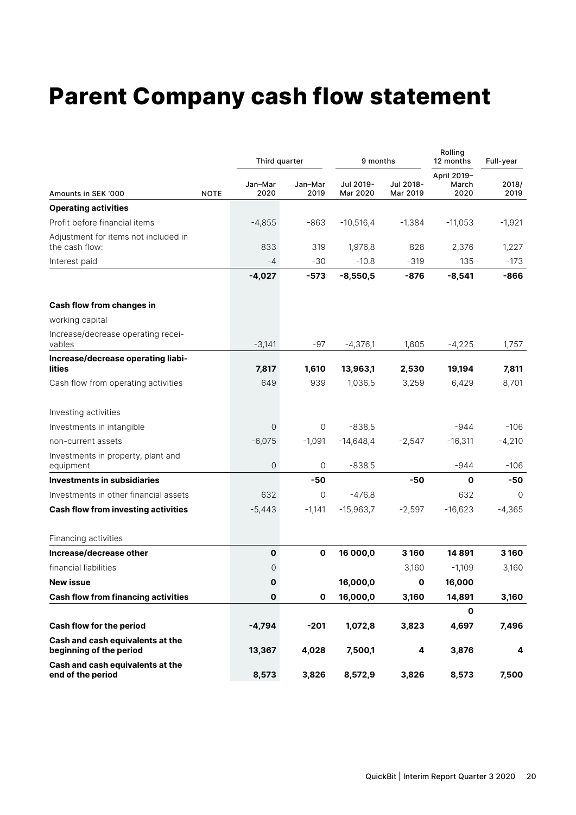### **Parent Company cash flow statement**

|                                                             |             | Third quarter      |                 | 9 months              |                       | Rolling<br>12 months         | Full-year     |
|-------------------------------------------------------------|-------------|--------------------|-----------------|-----------------------|-----------------------|------------------------------|---------------|
| Amounts in SEK '000                                         | <b>NOTE</b> | Jan-Mar<br>2020    | Jan-Mar<br>2019 | Jul 2019-<br>Mar 2020 | Jul 2018-<br>Mar 2019 | April 2019-<br>March<br>2020 | 2018/<br>2019 |
| <b>Operating activities</b>                                 |             |                    |                 |                       |                       |                              |               |
| Profit before financial items                               |             | $-4,855$           | $-863$          | $-10,516,4$           | $-1,384$              | $-11,053$                    | $-1,921$      |
| Adjustment for items not included in<br>the cash flow:      |             | 833                | 319             | 1,976,8               | 828                   | 2,376                        | 1,227         |
| Interest paid                                               |             | $-4$               | $-30$           | $-10.8$               | $-319$                | 135                          | $-173$        |
|                                                             |             | $-4,027$           | $-573$          | $-8,550,5$            | $-876$                | $-8,541$                     | -866          |
| Cash flow from changes in                                   |             |                    |                 |                       |                       |                              |               |
| working capital                                             |             |                    |                 |                       |                       |                              |               |
| Increase/decrease operating recei-<br>vables                |             | $-3,141$           | $-97$           | $-4,376,1$            | 1,605                 | $-4,225$                     | 1,757         |
| Increase/decrease operating liabi-<br>lities                |             | 7,817              | 1,610           | 13,963,1              | 2,530                 | 19,194                       | 7,811         |
| Cash flow from operating activities                         |             | 649                | 939             | 1,036,5               | 3,259                 | 6,429                        | 8,701         |
| Investing activities                                        |             |                    |                 |                       |                       |                              |               |
| Investments in intangible                                   |             | 0                  | 0               | $-838,5$              |                       | $-944$                       | $-106$        |
| non-current assets                                          |             | $-6,075$           | $-1,091$        | $-14,648,4$           | $-2,547$              | $-16,311$                    | $-4,210$      |
| Investments in property, plant and<br>equipment             |             | 0                  | 0               | $-838.5$              |                       | $-944$                       | $-106$        |
| Investments in subsidiaries                                 |             |                    | $-50$           |                       | $-50$                 | 0                            | -50           |
| Investments in other financial assets                       |             | 632                | $\circ$         | $-476,8$              |                       | 632                          | 0             |
| <b>Cash flow from investing activities</b>                  |             | $-5,443$           | $-1,141$        | $-15,963,7$           | $-2,597$              | $-16,623$                    | $-4,365$      |
| Financing activities                                        |             |                    |                 |                       |                       |                              |               |
| Increase/decrease other                                     |             | $\pmb{\mathsf{O}}$ | $\mathbf 0$     | 16 000,0              | 3 1 6 0               | 14891                        | 3 1 6 0       |
| financial liabilities                                       |             | 0                  |                 |                       | 3,160                 | $-1,109$                     | 3,160         |
| <b>New issue</b>                                            |             | O                  |                 | 16,000,0              | 0                     | 16,000                       |               |
| <b>Cash flow from financing activities</b>                  |             | $\pmb{0}$          | $\mathbf 0$     | 16,000,0              | 3,160                 | 14,891                       | 3,160         |
|                                                             |             |                    |                 |                       |                       | 0                            |               |
| Cash flow for the period                                    |             | $-4,794$           | $-201$          | 1,072,8               | 3,823                 | 4,697                        | 7,496         |
| Cash and cash equivalents at the<br>beginning of the period |             | 13,367             | 4,028           | 7,500,1               | 4                     | 3,876                        | 4             |
| Cash and cash equivalents at the<br>end of the period       |             | 8,573              | 3,826           | 8,572,9               | 3,826                 | 8,573                        | 7,500         |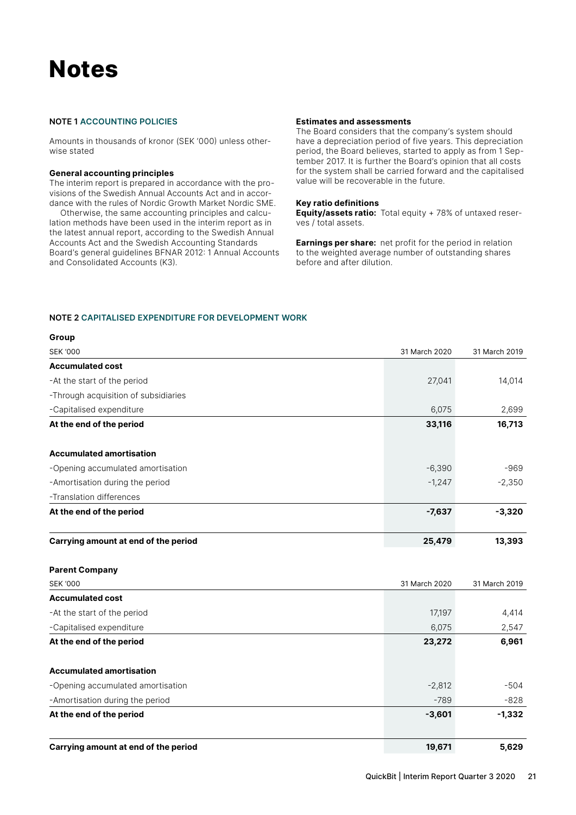### **Notes**

#### **NOTE 1 ACCOUNTING POLICIES**

Amounts in thousands of kronor (SEK '000) unless otherwise stated

#### **General accounting principles**

The interim report is prepared in accordance with the provisions of the Swedish Annual Accounts Act and in accordance with the rules of Nordic Growth Market Nordic SME.

Otherwise, the same accounting principles and calculation methods have been used in the interim report as in the latest annual report, according to the Swedish Annual Accounts Act and the Swedish Accounting Standards Board's general guidelines BFNAR 2012: 1 Annual Accounts and Consolidated Accounts (K3).

#### **Estimates and assessments**

The Board considers that the company's system should have a depreciation period of five years. This depreciation period, the Board believes, started to apply as from 1 September 2017. It is further the Board's opinion that all costs for the system shall be carried forward and the capitalised value will be recoverable in the future.

#### **Key ratio definitions**

**Equity/assets ratio:** Total equity + 78% of untaxed reserves / total assets.

**Earnings per share:** net profit for the period in relation to the weighted average number of outstanding shares before and after dilution.

#### **NOTE 2 CAPITALISED EXPENDITURE FOR DEVELOPMENT WORK**

| Group                                |               |               |
|--------------------------------------|---------------|---------------|
| <b>SEK '000</b>                      | 31 March 2020 | 31 March 2019 |
| <b>Accumulated cost</b>              |               |               |
| -At the start of the period          | 27,041        | 14,014        |
| -Through acquisition of subsidiaries |               |               |
| -Capitalised expenditure             | 6,075         | 2,699         |
| At the end of the period             | 33,116        | 16,713        |
| <b>Accumulated amortisation</b>      |               |               |
| -Opening accumulated amortisation    | $-6,390$      | $-969$        |
| -Amortisation during the period      | $-1,247$      | $-2,350$      |
| -Translation differences             |               |               |
| At the end of the period             | $-7,637$      | $-3,320$      |
| Carrying amount at end of the period | 25,479        | 13,393        |
| <b>Parent Company</b>                |               |               |
| <b>SEK '000</b>                      | 31 March 2020 | 31 March 2019 |
| <b>Accumulated cost</b>              |               |               |
| -At the start of the period          | 17,197        | 4,414         |
| -Capitalised expenditure             | 6,075         | 2,547         |
| At the end of the period             | 23,272        | 6,961         |
| <b>Accumulated amortisation</b>      |               |               |
| -Opening accumulated amortisation    | $-2,812$      | $-504$        |
| -Amortisation during the period      | $-789$        | $-828$        |
| At the end of the period             | $-3,601$      | $-1,332$      |
| Carrying amount at end of the period | 19,671        | 5,629         |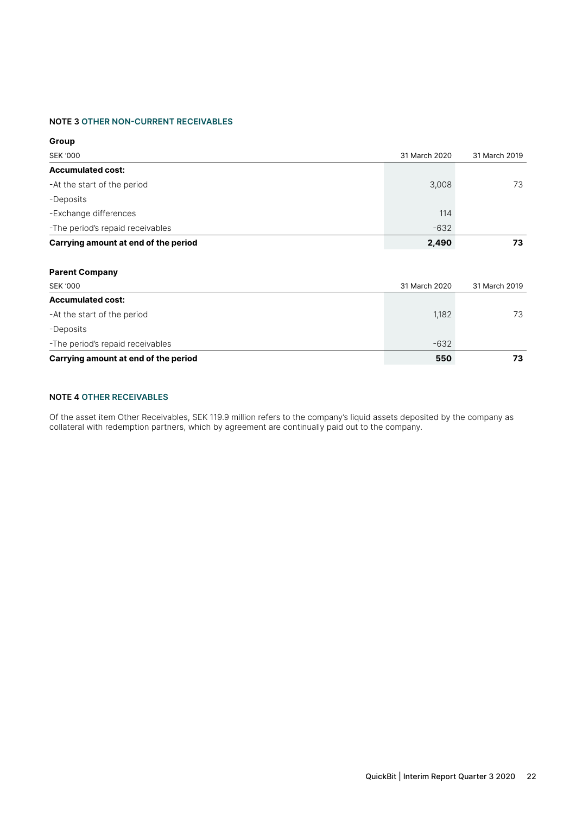#### **NOTE 3 OTHER NON-CURRENT RECEIVABLES**

| Group                                |               |               |
|--------------------------------------|---------------|---------------|
| <b>SEK '000</b>                      | 31 March 2020 | 31 March 2019 |
| <b>Accumulated cost:</b>             |               |               |
| -At the start of the period          | 3,008         | 73            |
| -Deposits                            |               |               |
| -Exchange differences                | 114           |               |
| -The period's repaid receivables     | $-632$        |               |
| Carrying amount at end of the period | 2,490         | 73            |
|                                      |               |               |
| <b>Parent Company</b>                |               |               |
| <b>SEK '000</b>                      | 31 March 2020 | 31 March 2019 |
| <b>Accumulated cost:</b>             |               |               |
| -At the start of the period          | 1,182         | 73            |
| -Deposits                            |               |               |
| -The period's repaid receivables     | $-632$        |               |
| Carrying amount at end of the period | 550           | 73            |

#### **NOTE 4 OTHER RECEIVABLES**

Of the asset item Other Receivables, SEK 119.9 million refers to the company's liquid assets deposited by the company as collateral with redemption partners, which by agreement are continually paid out to the company.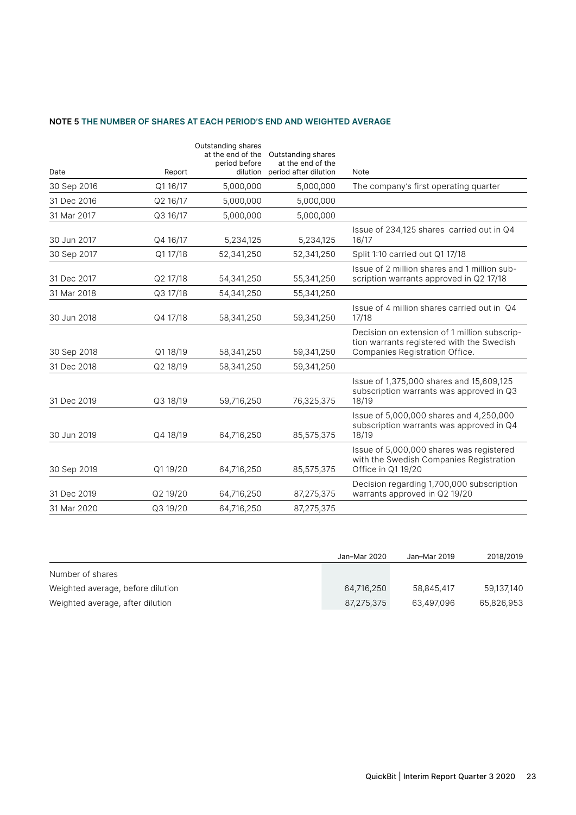#### **NOTE 5 THE NUMBER OF SHARES AT EACH PERIOD'S END AND WEIGHTED AVERAGE**

|             |          | Outstanding shares<br>at the end of the | Outstanding shares                         |                                                                                                                             |
|-------------|----------|-----------------------------------------|--------------------------------------------|-----------------------------------------------------------------------------------------------------------------------------|
| Date        | Report   | period before<br>dilution               | at the end of the<br>period after dilution | Note                                                                                                                        |
| 30 Sep 2016 | Q1 16/17 | 5,000,000                               | 5,000,000                                  | The company's first operating quarter                                                                                       |
| 31 Dec 2016 | Q2 16/17 | 5,000,000                               | 5,000,000                                  |                                                                                                                             |
| 31 Mar 2017 | Q3 16/17 | 5,000,000                               | 5,000,000                                  |                                                                                                                             |
| 30 Jun 2017 | Q4 16/17 | 5,234,125                               | 5,234,125                                  | Issue of 234,125 shares carried out in Q4<br>16/17                                                                          |
| 30 Sep 2017 | Q1 17/18 | 52,341,250                              | 52,341,250                                 | Split 1:10 carried out Q1 17/18                                                                                             |
| 31 Dec 2017 | Q2 17/18 | 54,341,250                              | 55,341,250                                 | Issue of 2 million shares and 1 million sub-<br>scription warrants approved in Q2 17/18                                     |
| 31 Mar 2018 | Q3 17/18 | 54,341,250                              | 55,341,250                                 |                                                                                                                             |
| 30 Jun 2018 | Q4 17/18 | 58,341,250                              | 59,341,250                                 | Issue of 4 million shares carried out in Q4<br>17/18                                                                        |
| 30 Sep 2018 | Q1 18/19 | 58,341,250                              | 59,341,250                                 | Decision on extension of 1 million subscrip-<br>tion warrants registered with the Swedish<br>Companies Registration Office. |
| 31 Dec 2018 | Q2 18/19 | 58,341,250                              | 59,341,250                                 |                                                                                                                             |
| 31 Dec 2019 | Q3 18/19 | 59,716,250                              | 76,325,375                                 | Issue of 1,375,000 shares and 15,609,125<br>subscription warrants was approved in Q3<br>18/19                               |
| 30 Jun 2019 | Q4 18/19 | 64,716,250                              | 85,575,375                                 | Issue of 5,000,000 shares and 4,250,000<br>subscription warrants was approved in Q4<br>18/19                                |
| 30 Sep 2019 | Q119/20  | 64,716,250                              | 85,575,375                                 | Issue of 5,000,000 shares was registered<br>with the Swedish Companies Registration<br>Office in Q1 19/20                   |
| 31 Dec 2019 | Q2 19/20 | 64,716,250                              | 87,275,375                                 | Decision regarding 1,700,000 subscription<br>warrants approved in Q2 19/20                                                  |
| 31 Mar 2020 | Q3 19/20 | 64,716,250                              | 87,275,375                                 |                                                                                                                             |

|                                   | Jan-Mar 2020 | Jan-Mar 2019 | 2018/2019  |
|-----------------------------------|--------------|--------------|------------|
| Number of shares                  |              |              |            |
| Weighted average, before dilution | 64.716.250   | 58.845.417   | 59.137.140 |
| Weighted average, after dilution  | 87,275,375   | 63.497.096   | 65,826,953 |